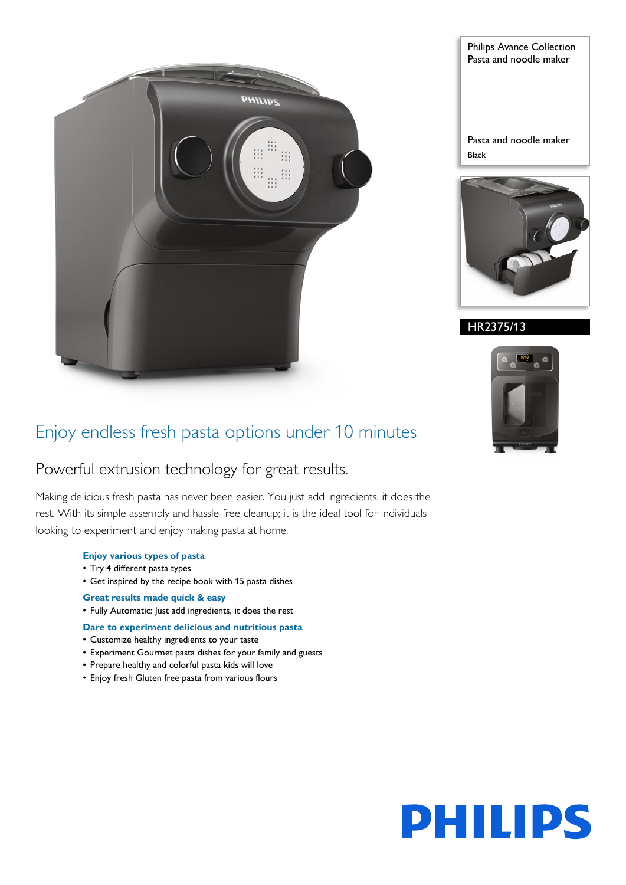

Philips Avance Collection Pasta and noodle maker

Pasta and noodle maker Black



HR2375/13



## Enjoy endless fresh pasta options under 10 minutes

## Powerful extrusion technology for great results.

Making delicious fresh pasta has never been easier. You just add ingredients, it does the rest. With its simple assembly and hassle-free cleanup; it is the ideal tool for individuals looking to experiment and enjoy making pasta at home.

### **Enjoy various types of pasta**

- Try 4 different pasta types
- Get inspired by the recipe book with 15 pasta dishes

### **Great results made quick & easy**

• Fully Automatic: Just add ingredients, it does the rest

### **Dare to experiment delicious and nutritious pasta**

- Customize healthy ingredients to your taste
- Experiment Gourmet pasta dishes for your family and guests
- Prepare healthy and colorful pasta kids will love
- Enjoy fresh Gluten free pasta from various flours